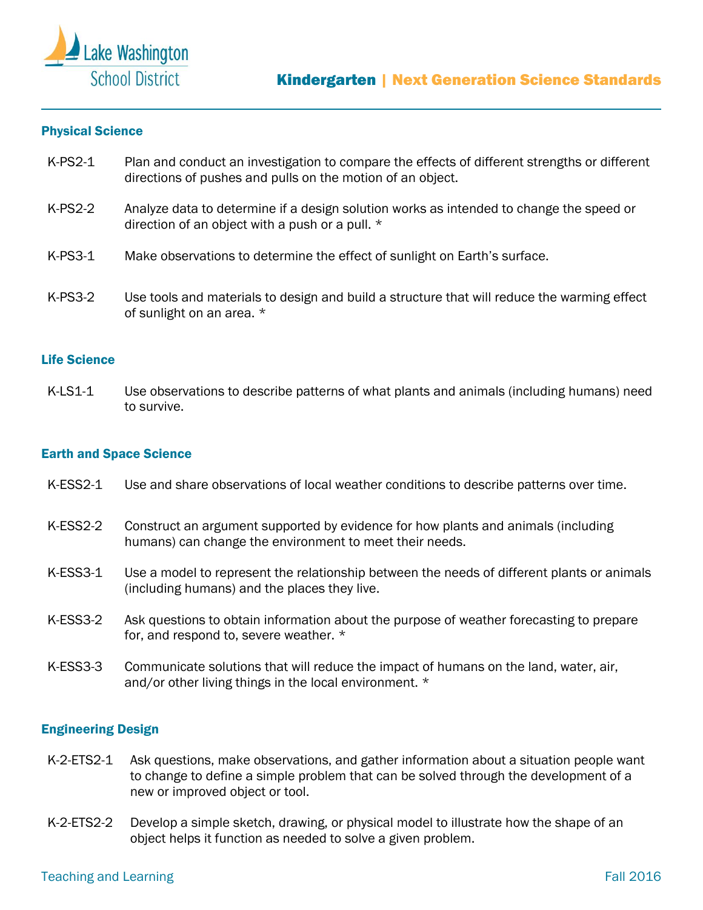

## Physical Science

- K-PS2-1 Plan and conduct an investigation to compare the effects of different strengths or different directions of pushes and pulls on the motion of an object.
- K-PS2-2 Analyze data to determine if a design solution works as intended to change the speed or direction of an object with a push or a pull. \*
- K-PS3-1 Make observations to determine the effect of sunlight on Earth's surface.
- K-PS3-2 Use tools and materials to design and build a structure that will reduce the warming effect of sunlight on an area. \*

## Life Science

K-LS1-1 Use observations to describe patterns of what plants and animals (including humans) need to survive.

## Earth and Space Science

- K-ESS2-1 Use and share observations of local weather conditions to describe patterns over time.
- K-ESS2-2 Construct an argument supported by evidence for how plants and animals (including humans) can change the environment to meet their needs.
- K-ESS3-1 Use a model to represent the relationship between the needs of different plants or animals (including humans) and the places they live.
- K-ESS3-2 Ask questions to obtain information about the purpose of weather forecasting to prepare for, and respond to, severe weather. \*
- K-ESS3-3 Communicate solutions that will reduce the impact of humans on the land, water, air, and/or other living things in the local environment. \*

## Engineering Design

- K-2-ETS2-1 Ask questions, make observations, and gather information about a situation people want to change to define a simple problem that can be solved through the development of a new or improved object or tool.
- K-2-ETS2-2 Develop a simple sketch, drawing, or physical model to illustrate how the shape of an object helps it function as needed to solve a given problem.